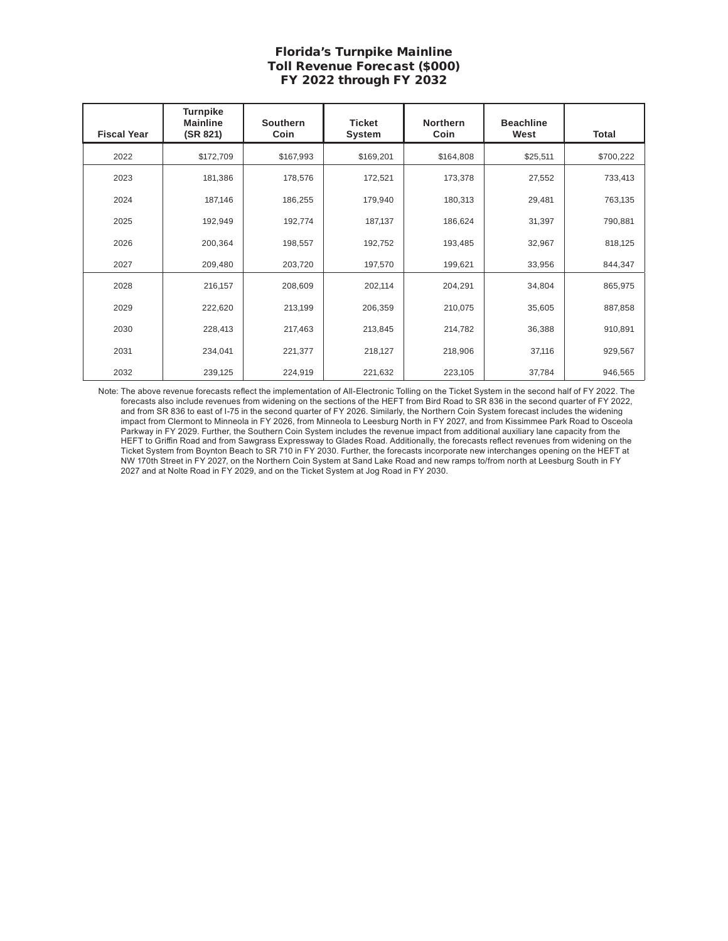## Florida's Turnpike Mainline Toll Revenue Forecast (\$000) FY 2022 through FY 2032

| <b>Fiscal Year</b> | <b>Turnpike</b><br><b>Mainline</b><br>(SR 821) | <b>Southern</b><br>Coin | <b>Ticket</b><br><b>System</b> | <b>Northern</b><br>Coin | <b>Beachline</b><br>West | Total     |
|--------------------|------------------------------------------------|-------------------------|--------------------------------|-------------------------|--------------------------|-----------|
| 2022               | \$172,709                                      | \$167,993               | \$169,201                      | \$164,808               | \$25,511                 | \$700,222 |
| 2023               | 181,386                                        | 178,576                 | 172,521                        | 173,378                 | 27,552                   | 733,413   |
| 2024               | 187,146                                        | 186,255                 | 179,940                        | 180,313                 | 29,481                   | 763,135   |
| 2025               | 192,949                                        | 192,774                 | 187,137                        | 186,624                 | 31,397                   | 790,881   |
| 2026               | 200,364                                        | 198,557                 | 192,752                        | 193,485                 | 32,967                   | 818,125   |
| 2027               | 209,480                                        | 203,720                 | 197,570                        | 199,621                 | 33,956                   | 844,347   |
| 2028               | 216,157                                        | 208,609                 | 202,114                        | 204,291                 | 34,804                   | 865,975   |
| 2029               | 222,620                                        | 213,199                 | 206,359                        | 210,075                 | 35,605                   | 887,858   |
| 2030               | 228,413                                        | 217,463                 | 213,845                        | 214,782                 | 36,388                   | 910,891   |
| 2031               | 234,041                                        | 221,377                 | 218,127                        | 218,906                 | 37,116                   | 929,567   |
| 2032               | 239,125                                        | 224,919                 | 221,632                        | 223,105                 | 37,784                   | 946,565   |

Note: The above revenue forecasts reflect the implementation of All-Electronic Tolling on the Ticket System in the second half of FY 2022. The forecasts also include revenues from widening on the sections of the HEFT from Bird Road to SR 836 in the second quarter of FY 2022, and from SR 836 to east of I-75 in the second quarter of FY 2026. Similarly, the Northern Coin System forecast includes the widening impact from Clermont to Minneola in FY 2026, from Minneola to Leesburg North in FY 2027, and from Kissimmee Park Road to Osceola Parkway in FY 2029. Further, the Southern Coin System includes the revenue impact from additional auxiliary lane capacity from the HEFT to Griffin Road and from Sawgrass Expressway to Glades Road. Additionally, the forecasts reflect revenues from widening on the Ticket System from Boynton Beach to SR 710 in FY 2030. Further, the forecasts incorporate new interchanges opening on the HEFT at NW 170th Street in FY 2027, on the Northern Coin System at Sand Lake Road and new ramps to/from north at Leesburg South in FY 2027 and at Nolte Road in FY 2029, and on the Ticket System at Jog Road in FY 2030.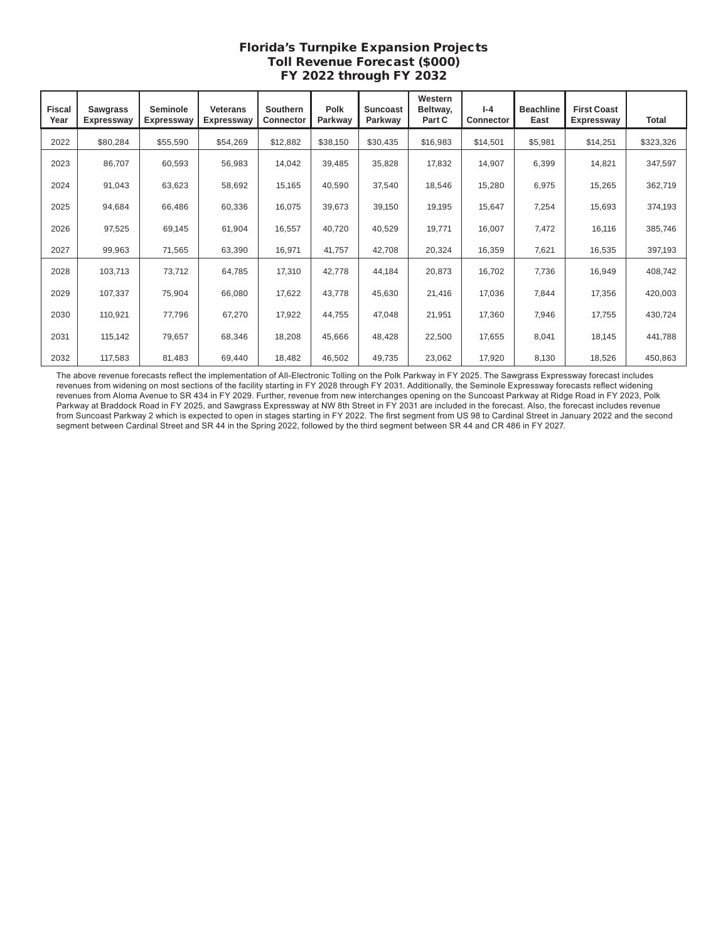## Florida's Turnpike Expansion Projects Toll Revenue Forecast (\$000) FY 2022 through FY 2032

| <b>Fiscal</b><br>Year | <b>Sawgrass</b><br>Expressway | Seminole<br><b>Expressway</b> | <b>Veterans</b><br>Expressway | Southern<br><b>Connector</b> | Polk<br>Parkway | <b>Suncoast</b><br>Parkway | Western<br>Beltway,<br>Part C | $I - 4$<br><b>Connector</b> | <b>Beachline</b><br>East | <b>First Coast</b><br><b>Expressway</b> | Total     |
|-----------------------|-------------------------------|-------------------------------|-------------------------------|------------------------------|-----------------|----------------------------|-------------------------------|-----------------------------|--------------------------|-----------------------------------------|-----------|
| 2022                  | \$80,284                      | \$55,590                      | \$54,269                      | \$12,882                     | \$38,150        | \$30,435                   | \$16,983                      | \$14,501                    | \$5,981                  | \$14,251                                | \$323,326 |
| 2023                  | 86,707                        | 60,593                        | 56,983                        | 14,042                       | 39,485          | 35,828                     | 17,832                        | 14,907                      | 6,399                    | 14,821                                  | 347,597   |
| 2024                  | 91,043                        | 63,623                        | 58,692                        | 15,165                       | 40,590          | 37,540                     | 18,546                        | 15,280                      | 6,975                    | 15,265                                  | 362,719   |
| 2025                  | 94,684                        | 66,486                        | 60,336                        | 16,075                       | 39,673          | 39,150                     | 19,195                        | 15,647                      | 7,254                    | 15,693                                  | 374,193   |
| 2026                  | 97,525                        | 69,145                        | 61,904                        | 16,557                       | 40,720          | 40,529                     | 19,771                        | 16,007                      | 7,472                    | 16,116                                  | 385,746   |
| 2027                  | 99,963                        | 71,565                        | 63,390                        | 16,971                       | 41,757          | 42,708                     | 20,324                        | 16,359                      | 7,621                    | 16,535                                  | 397,193   |
| 2028                  | 103,713                       | 73,712                        | 64,785                        | 17,310                       | 42,778          | 44,184                     | 20,873                        | 16,702                      | 7,736                    | 16,949                                  | 408,742   |
| 2029                  | 107,337                       | 75,904                        | 66,080                        | 17,622                       | 43,778          | 45,630                     | 21,416                        | 17,036                      | 7,844                    | 17,356                                  | 420,003   |
| 2030                  | 110,921                       | 77,796                        | 67,270                        | 17,922                       | 44,755          | 47,048                     | 21,951                        | 17,360                      | 7,946                    | 17,755                                  | 430,724   |
| 2031                  | 115,142                       | 79,657                        | 68,346                        | 18,208                       | 45,666          | 48,428                     | 22,500                        | 17,655                      | 8,041                    | 18,145                                  | 441,788   |
| 2032                  | 117,583                       | 81,483                        | 69,440                        | 18,482                       | 46,502          | 49,735                     | 23,062                        | 17,920                      | 8,130                    | 18,526                                  | 450,863   |

The above revenue forecasts reflect the implementation of All-Electronic Tolling on the Polk Parkway in FY 2025. The Sawgrass Expressway forecast includes revenues from widening on most sections of the facility starting in FY 2028 through FY 2031. Additionally, the Seminole Expressway forecasts reflect widening revenues from Aloma Avenue to SR 434 in FY 2029. Further, revenue from new interchanges opening on the Suncoast Parkway at Ridge Road in FY 2023, Polk Parkway at Braddock Road in FY 2025, and Sawgrass Expressway at NW 8th Street in FY 2031 are included in the forecast. Also, the forecast includes revenue from Suncoast Parkway 2 which is expected to open in stages starting in FY 2022. The first segment from US 98 to Cardinal Street in January 2022 and the second segment between Cardinal Street and SR 44 in the Spring 2022, followed by the third segment between SR 44 and CR 486 in FY 2027.